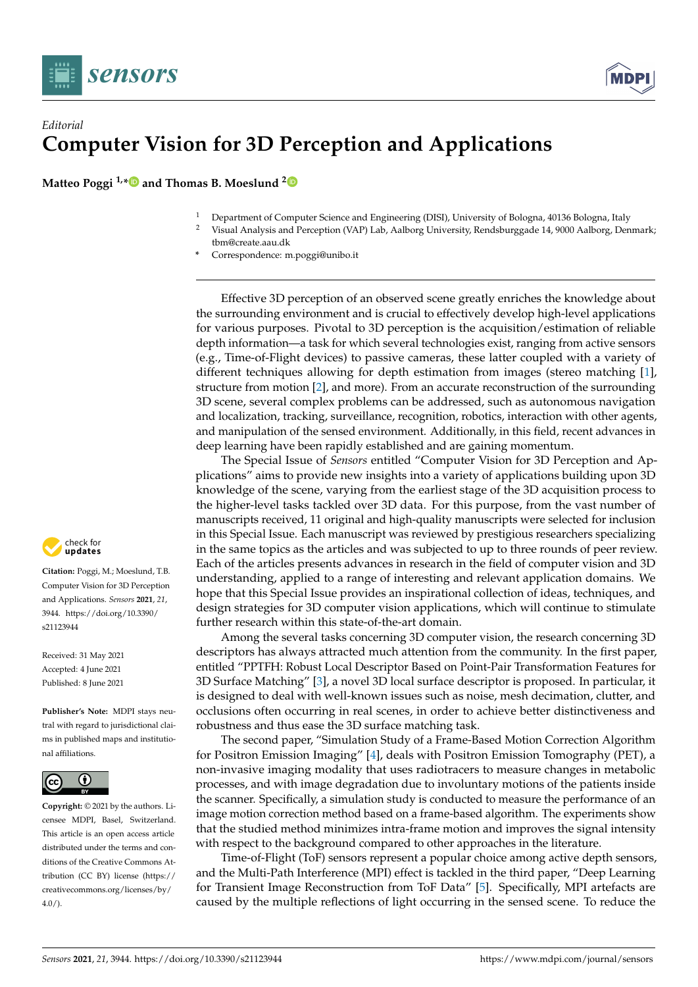

## *Editorial* **Computer Vision for 3D Perception and Applications**

**Matteo Poggi 1,[\\*](https://orcid.org/0000-0002-3337-2236) and Thomas B. Moeslund [2](https://orcid.org/0000-0001-7584-5209)**

- <sup>1</sup> Department of Computer Science and Engineering (DISI), University of Bologna, 40136 Bologna, Italy<br><sup>2</sup> Viewel Anglysis and Persontion (VAP) Lab Aelberg University Pendsburganda 14, 9000 Aelberg Den
- <sup>2</sup> Visual Analysis and Perception (VAP) Lab, Aalborg University, Rendsburggade 14, 9000 Aalborg, Denmark; tbm@create.aau.dk
- **\*** Correspondence: m.poggi@unibo.it

Effective 3D perception of an observed scene greatly enriches the knowledge about the surrounding environment and is crucial to effectively develop high-level applications for various purposes. Pivotal to 3D perception is the acquisition/estimation of reliable depth information—a task for which several technologies exist, ranging from active sensors (e.g., Time-of-Flight devices) to passive cameras, these latter coupled with a variety of different techniques allowing for depth estimation from images (stereo matching [\[1\]](#page-2-0), structure from motion [\[2\]](#page-2-1), and more). From an accurate reconstruction of the surrounding 3D scene, several complex problems can be addressed, such as autonomous navigation and localization, tracking, surveillance, recognition, robotics, interaction with other agents, and manipulation of the sensed environment. Additionally, in this field, recent advances in deep learning have been rapidly established and are gaining momentum.

The Special Issue of *Sensors* entitled "Computer Vision for 3D Perception and Applications" aims to provide new insights into a variety of applications building upon 3D knowledge of the scene, varying from the earliest stage of the 3D acquisition process to the higher-level tasks tackled over 3D data. For this purpose, from the vast number of manuscripts received, 11 original and high-quality manuscripts were selected for inclusion in this Special Issue. Each manuscript was reviewed by prestigious researchers specializing in the same topics as the articles and was subjected to up to three rounds of peer review. Each of the articles presents advances in research in the field of computer vision and 3D understanding, applied to a range of interesting and relevant application domains. We hope that this Special Issue provides an inspirational collection of ideas, techniques, and design strategies for 3D computer vision applications, which will continue to stimulate further research within this state-of-the-art domain.

Among the several tasks concerning 3D computer vision, the research concerning 3D descriptors has always attracted much attention from the community. In the first paper, entitled "PPTFH: Robust Local Descriptor Based on Point-Pair Transformation Features for 3D Surface Matching" [\[3\]](#page-2-2), a novel 3D local surface descriptor is proposed. In particular, it is designed to deal with well-known issues such as noise, mesh decimation, clutter, and occlusions often occurring in real scenes, in order to achieve better distinctiveness and robustness and thus ease the 3D surface matching task.

The second paper, "Simulation Study of a Frame-Based Motion Correction Algorithm for Positron Emission Imaging" [\[4\]](#page-2-3), deals with Positron Emission Tomography (PET), a non-invasive imaging modality that uses radiotracers to measure changes in metabolic processes, and with image degradation due to involuntary motions of the patients inside the scanner. Specifically, a simulation study is conducted to measure the performance of an image motion correction method based on a frame-based algorithm. The experiments show that the studied method minimizes intra-frame motion and improves the signal intensity with respect to the background compared to other approaches in the literature.

Time-of-Flight (ToF) sensors represent a popular choice among active depth sensors, and the Multi-Path Interference (MPI) effect is tackled in the third paper, "Deep Learning for Transient Image Reconstruction from ToF Data" [\[5\]](#page-2-4). Specifically, MPI artefacts are caused by the multiple reflections of light occurring in the sensed scene. To reduce the



**Citation:** Poggi, M.; Moeslund, T.B. Computer Vision for 3D Perception and Applications. *Sensors* **2021**, *21*, 3944. [https://doi.org/10.3390/](https://doi.org/10.3390/s21123944) [s21123944](https://doi.org/10.3390/s21123944)

Received: 31 May 2021 Accepted: 4 June 2021 Published: 8 June 2021

**Publisher's Note:** MDPI stays neutral with regard to jurisdictional claims in published maps and institutional affiliations.



**Copyright:** © 2021 by the authors. Licensee MDPI, Basel, Switzerland. This article is an open access article distributed under the terms and conditions of the Creative Commons Attribution (CC BY) license [\(https://](https://creativecommons.org/licenses/by/4.0/) [creativecommons.org/licenses/by/](https://creativecommons.org/licenses/by/4.0/)  $4.0/$ ).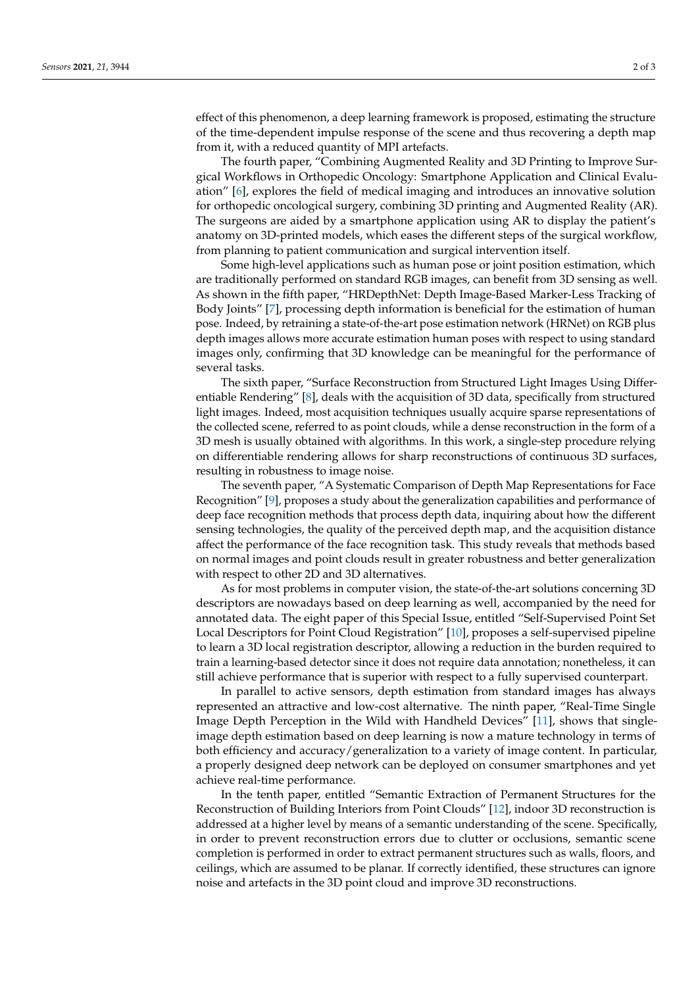effect of this phenomenon, a deep learning framework is proposed, estimating the structure of the time-dependent impulse response of the scene and thus recovering a depth map from it, with a reduced quantity of MPI artefacts.

The fourth paper, "Combining Augmented Reality and 3D Printing to Improve Surgical Workflows in Orthopedic Oncology: Smartphone Application and Clinical Evaluation" [\[6\]](#page-2-5), explores the field of medical imaging and introduces an innovative solution for orthopedic oncological surgery, combining 3D printing and Augmented Reality (AR). The surgeons are aided by a smartphone application using AR to display the patient's anatomy on 3D-printed models, which eases the different steps of the surgical workflow, from planning to patient communication and surgical intervention itself.

Some high-level applications such as human pose or joint position estimation, which are traditionally performed on standard RGB images, can benefit from 3D sensing as well. As shown in the fifth paper, "HRDepthNet: Depth Image-Based Marker-Less Tracking of Body Joints" [\[7\]](#page-2-6), processing depth information is beneficial for the estimation of human pose. Indeed, by retraining a state-of-the-art pose estimation network (HRNet) on RGB plus depth images allows more accurate estimation human poses with respect to using standard images only, confirming that 3D knowledge can be meaningful for the performance of several tasks.

The sixth paper, "Surface Reconstruction from Structured Light Images Using Differentiable Rendering" [\[8\]](#page-2-7), deals with the acquisition of 3D data, specifically from structured light images. Indeed, most acquisition techniques usually acquire sparse representations of the collected scene, referred to as point clouds, while a dense reconstruction in the form of a 3D mesh is usually obtained with algorithms. In this work, a single-step procedure relying on differentiable rendering allows for sharp reconstructions of continuous 3D surfaces, resulting in robustness to image noise.

The seventh paper, "A Systematic Comparison of Depth Map Representations for Face Recognition" [\[9\]](#page-2-8), proposes a study about the generalization capabilities and performance of deep face recognition methods that process depth data, inquiring about how the different sensing technologies, the quality of the perceived depth map, and the acquisition distance affect the performance of the face recognition task. This study reveals that methods based on normal images and point clouds result in greater robustness and better generalization with respect to other 2D and 3D alternatives.

As for most problems in computer vision, the state-of-the-art solutions concerning 3D descriptors are nowadays based on deep learning as well, accompanied by the need for annotated data. The eight paper of this Special Issue, entitled "Self-Supervised Point Set Local Descriptors for Point Cloud Registration" [\[10\]](#page-2-9), proposes a self-supervised pipeline to learn a 3D local registration descriptor, allowing a reduction in the burden required to train a learning-based detector since it does not require data annotation; nonetheless, it can still achieve performance that is superior with respect to a fully supervised counterpart.

In parallel to active sensors, depth estimation from standard images has always represented an attractive and low-cost alternative. The ninth paper, "Real-Time Single Image Depth Perception in the Wild with Handheld Devices" [\[11\]](#page-2-10), shows that singleimage depth estimation based on deep learning is now a mature technology in terms of both efficiency and accuracy/generalization to a variety of image content. In particular, a properly designed deep network can be deployed on consumer smartphones and yet achieve real-time performance.

In the tenth paper, entitled "Semantic Extraction of Permanent Structures for the Reconstruction of Building Interiors from Point Clouds" [\[12\]](#page-2-11), indoor 3D reconstruction is addressed at a higher level by means of a semantic understanding of the scene. Specifically, in order to prevent reconstruction errors due to clutter or occlusions, semantic scene completion is performed in order to extract permanent structures such as walls, floors, and ceilings, which are assumed to be planar. If correctly identified, these structures can ignore noise and artefacts in the 3D point cloud and improve 3D reconstructions.